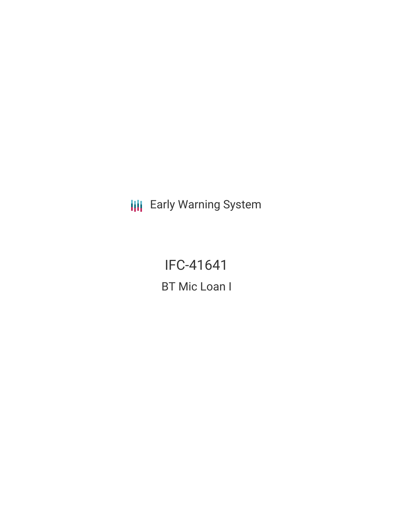**III** Early Warning System

**IFC-41641 BT Mic Loan I**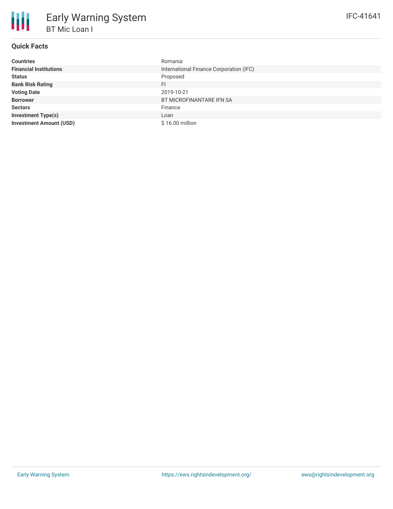| <b>Countries</b>               | Romania                                 |
|--------------------------------|-----------------------------------------|
| <b>Financial Institutions</b>  | International Finance Corporation (IFC) |
| <b>Status</b>                  | Proposed                                |
| <b>Bank Risk Rating</b>        | FI.                                     |
| <b>Voting Date</b>             | 2019-10-21                              |
| <b>Borrower</b>                | BT MICROFINANTARE IFN SA                |
| <b>Sectors</b>                 | Finance                                 |
| <b>Investment Type(s)</b>      | Loan                                    |
| <b>Investment Amount (USD)</b> | \$16.00 million                         |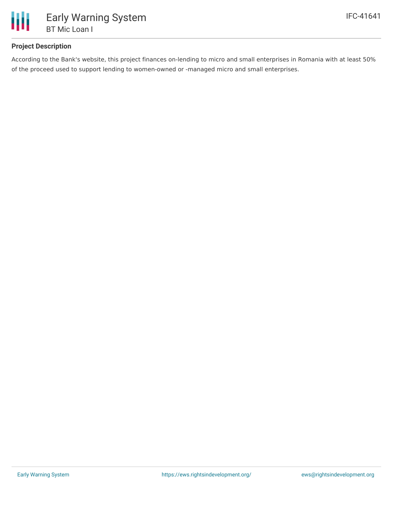

## **Project Description**

According to the Bank's website, this project finances on-lending to micro and small enterprises in Romania with at least 50% of the proceed used to support lending to women-owned or -managed micro and small enterprises.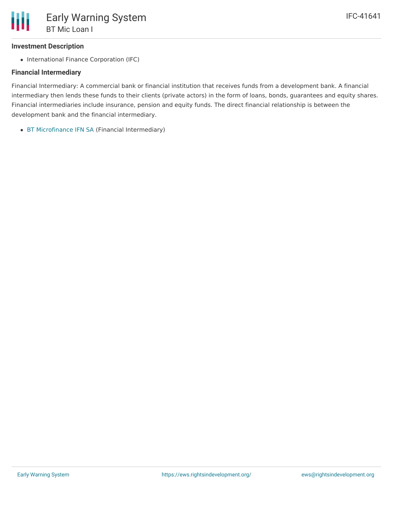## **Investment Description**

• International Finance Corporation (IFC)

#### **Financial Intermediary**

Financial Intermediary: A commercial bank or financial institution that receives funds from a development bank. A financial intermediary then lends these funds to their clients (private actors) in the form of loans, bonds, guarantees and equity shares. Financial intermediaries include insurance, pension and equity funds. The direct financial relationship is between the development bank and the financial intermediary.

BT [Microfinance](file:///actor/2801/) IFN SA (Financial Intermediary)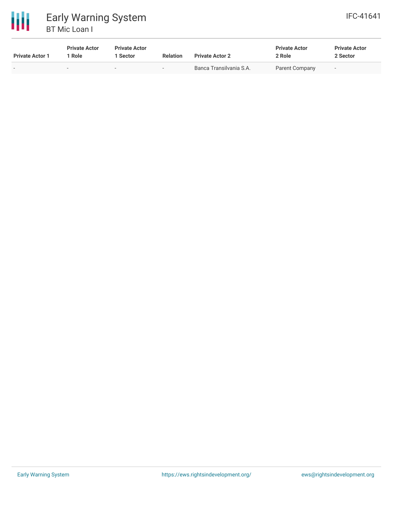

# 冊 Early Warning System BT Mic Loan I

| <b>Private Actor 1</b> | <b>Private Actor</b><br>` Role | <b>Private Actor</b><br>Sector | <b>Relation</b> | <b>Private Actor 2</b>  | <b>Private Actor</b><br>2 Role | <b>Private Actor</b><br>2 Sector |  |
|------------------------|--------------------------------|--------------------------------|-----------------|-------------------------|--------------------------------|----------------------------------|--|
|                        | $\sim$                         | -                              |                 | Banca Transilvania S.A. | Parent Company                 | $\overline{\phantom{0}}$         |  |